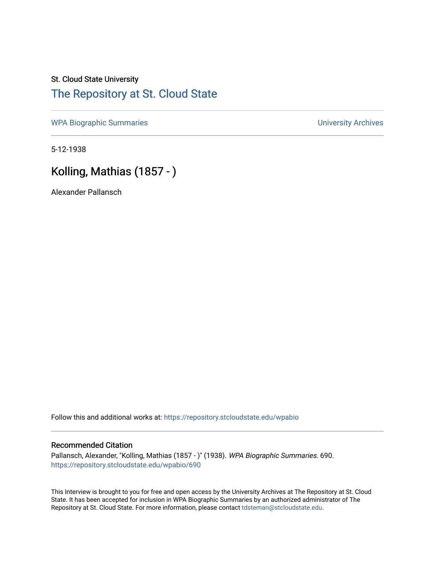## St. Cloud State University [The Repository at St. Cloud State](https://repository.stcloudstate.edu/)

[WPA Biographic Summaries](https://repository.stcloudstate.edu/wpabio) **WPA Biographic Summaries University Archives** 

5-12-1938

# Kolling, Mathias (1857 - )

Alexander Pallansch

Follow this and additional works at: [https://repository.stcloudstate.edu/wpabio](https://repository.stcloudstate.edu/wpabio?utm_source=repository.stcloudstate.edu%2Fwpabio%2F690&utm_medium=PDF&utm_campaign=PDFCoverPages) 

### Recommended Citation

Pallansch, Alexander, "Kolling, Mathias (1857 - )" (1938). WPA Biographic Summaries. 690. [https://repository.stcloudstate.edu/wpabio/690](https://repository.stcloudstate.edu/wpabio/690?utm_source=repository.stcloudstate.edu%2Fwpabio%2F690&utm_medium=PDF&utm_campaign=PDFCoverPages) 

This Interview is brought to you for free and open access by the University Archives at The Repository at St. Cloud State. It has been accepted for inclusion in WPA Biographic Summaries by an authorized administrator of The Repository at St. Cloud State. For more information, please contact [tdsteman@stcloudstate.edu.](mailto:tdsteman@stcloudstate.edu)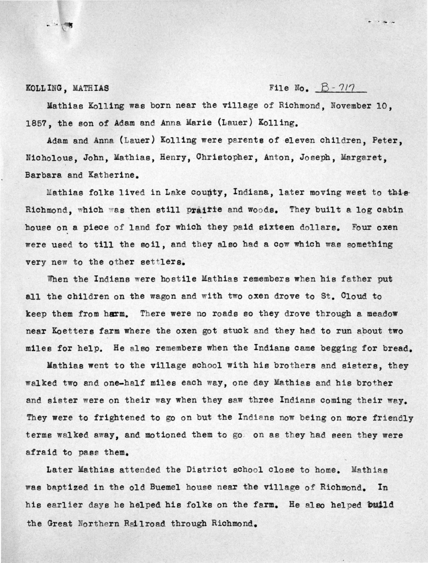- ..

**KOLL ING, MATHIAS File No.**  $B - 717$ 

Mathias Kolling was born near the village of Richmond, November 10, 1857, the son of Adam and Anna Marie (Lauer) Kolling.

Adam and Anna (Lauer) Kolling were parents of eleven children, Peter, Nicholous, John, Mathias, Henry, Christopher, Anton, Joseph, Margaret, Barbara and Katherine.

Mathias folks lived in Lake county, Indiana, later moving west to this Richmond, which was then still prairie and woods. They built a log cabin house on a piece of land for which they paid sixteen dollars. Four oxen were used to till the soil, and they also had a cow which was something very new to the other settlers.

When the Indians were hostile Mathias remembers when his father put all the children on the wagon and with two oxen drove to St. Cloud to keep them from harm. There were no roads so they drove through a meadow near Koetters farm where the oxen got stuck and they had to run about two miles for help. He also remembers when the Indians came begging for bread.

Mathias went to the village school with his brothers and sisters, they walked two and one-half miles each way, one day Mathias and his brother and sister were on their way when they saw three Indians coming their way. They were to frightened to go on but the Indians now being on more friendly terms walked away, and motioned them to go. on as they had seen they were afraid to pass them.

Later Mathias attended the District school close to home. Mathias was baptized in the old Buemel house near the village of Richmond. In his earlier days he helped his folks on the farm. He also helped build the Great Northern Railroad through Richmond.